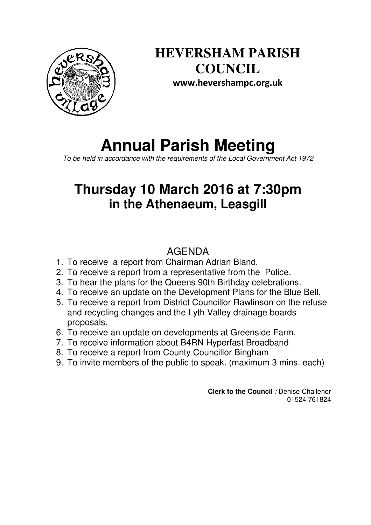

**HEVERSHAM PARISH COUNCIL www.hevershampc.org.uk** 

# **Annual Parish Meeting**

*To be held in accordance with the requirements of the Local Government Act 1972*

## **Thursday 10 March 2016 at 7:30pm in the Athenaeum, Leasgill**

### AGENDA

- 1. To receive a report from Chairman Adrian Bland.
- 2. To receive a report from a representative from the Police.
- 3. To hear the plans for the Queens 90th Birthday celebrations.
- 4. To receive an update on the Development Plans for the Blue Bell.
- 5. To receive a report from District Councillor Rawlinson on the refuse and recycling changes and the Lyth Valley drainage boards proposals.
- 6. To receive an update on developments at Greenside Farm.
- 7. To receive information about B4RN Hyperfast Broadband
- 8. To receive a report from County Councillor Bingham
- 9. To invite members of the public to speak. (maximum 3 mins. each)

**Clerk to the Council** *:* Denise Challenor 01524 761824